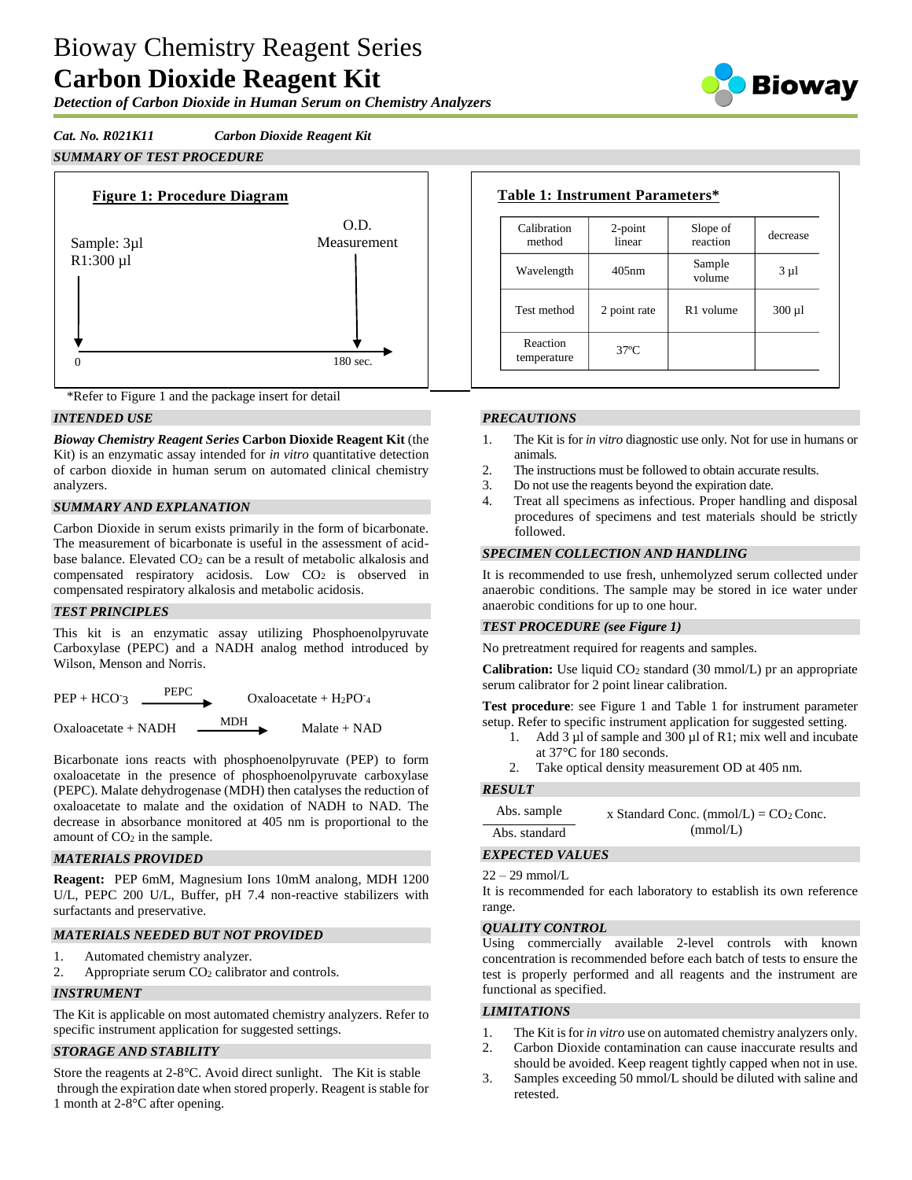# Bioway Chemistry Reagent Series **Carbon Dioxide Reagent Kit**

*Detection of Carbon Dioxide in Human Serum on Chemistry Analyzers*

Bioway

# *Cat. No. R021K11 Carbon Dioxide Reagent Kit*

*SUMMARY OF TEST PROCEDURE*





### *INTENDED USE*

*Bioway Chemistry Reagent Series* **Carbon Dioxide Reagent Kit** (the Kit) is an enzymatic assay intended for *in vitro* quantitative detection of carbon dioxide in human serum on automated clinical chemistry analyzers.

## *SUMMARY AND EXPLANATION*

Carbon Dioxide in serum exists primarily in the form of bicarbonate. The measurement of bicarbonate is useful in the assessment of acidbase balance. Elevated CO<sub>2</sub> can be a result of metabolic alkalosis and compensated respiratory acidosis. Low  $CO<sub>2</sub>$  is observed in compensated respiratory alkalosis and metabolic acidosis.

### *TEST PRINCIPLES*

This kit is an enzymatic assay utilizing Phosphoenolpyruvate Carboxylase (PEPC) and a NADH analog method introduced by Wilson, Menson and Norris.

| $PEP + HCO =$         | <b>PEPC</b> | Oxaloacetate + $H_2PO_4$ |
|-----------------------|-------------|--------------------------|
| $Oxaloacetate + NADH$ | <b>MDH</b>  | $Malate + NAD$           |

Bicarbonate ions reacts with phosphoenolpyruvate (PEP) to form oxaloacetate in the presence of phosphoenolpyruvate carboxylase (PEPC). Malate dehydrogenase (MDH) then catalyses the reduction of oxaloacetate to malate and the oxidation of NADH to NAD. The decrease in absorbance monitored at 405 nm is proportional to the amount of  $CO<sub>2</sub>$  in the sample.

## *MATERIALS PROVIDED*

**Reagent:** PEP 6mM, Magnesium Ions 10mM analong, MDH 1200 U/L, PEPC 200 U/L, Buffer, pH 7.4 non-reactive stabilizers with surfactants and preservative.

## *MATERIALS NEEDED BUT NOT PROVIDED*

- 1. Automated chemistry analyzer.
- 2. Appropriate serum CO<sub>2</sub> calibrator and controls.

## *INSTRUMENT*

The Kit is applicable on most automated chemistry analyzers. Refer to specific instrument application for suggested settings.

### *STORAGE AND STABILITY*

Store the reagents at 2-8°C. Avoid direct sunlight. The Kit is stable through the expiration date when stored properly. Reagent is stable for 1 month at 2-8°C after opening.

| Calibration<br>method   | $2$ -point<br>linear | Slope of<br>reaction  | decrease    |
|-------------------------|----------------------|-----------------------|-------------|
| Wavelength              | $405$ nm             | Sample<br>volume      | $3 \mu l$   |
| Test method             | 2 point rate         | R <sub>1</sub> volume | $300 \mu l$ |
| Reaction<br>temperature | $37^\circ$ C         |                       |             |

### *PRECAUTIONS*

- 1. The Kit is for *in vitro* diagnostic use only. Not for use in humans or animals.
- 2. The instructions must be followed to obtain accurate results.
- 3. Do not use the reagents beyond the expiration date.
- 4. Treat all specimens as infectious. Proper handling and disposal procedures of specimens and test materials should be strictly followed.

### *SPECIMEN COLLECTION AND HANDLING*

It is recommended to use fresh, unhemolyzed serum collected under anaerobic conditions. The sample may be stored in ice water under anaerobic conditions for up to one hour.

#### *TEST PROCEDURE (see Figure 1)*

No pretreatment required for reagents and samples.

**Calibration:** Use liquid CO<sub>2</sub> standard (30 mmol/L) pr an appropriate serum calibrator for 2 point linear calibration.

**Test procedure**: see Figure 1 and Table 1 for instrument parameter setup. Refer to specific instrument application for suggested setting.

- 1. Add 3 µl of sample and 300 µl of R1; mix well and incubate at 37°C for 180 seconds.
- 2. Take optical density measurement OD at 405 nm.

### *RESULT*

| Abs. sample   | x Standard Conc. (mmol/L) = $CO2$ Conc. |
|---------------|-----------------------------------------|
| Abs. standard | (mmol/L)                                |

### *EXPECTED VALUES*

22 – 29 mmol/L

It is recommended for each laboratory to establish its own reference range.

### *QUALITY CONTROL*

Using commercially available 2-level controls with known concentration is recommended before each batch of tests to ensure the test is properly performed and all reagents and the instrument are functional as specified.

### *LIMITATIONS*

- 1. The Kit isfor *in vitro* use on automated chemistry analyzers only.
- 2. Carbon Dioxide contamination can cause inaccurate results and should be avoided. Keep reagent tightly capped when not in use.
- 3. Samples exceeding 50 mmol/L should be diluted with saline and retested.